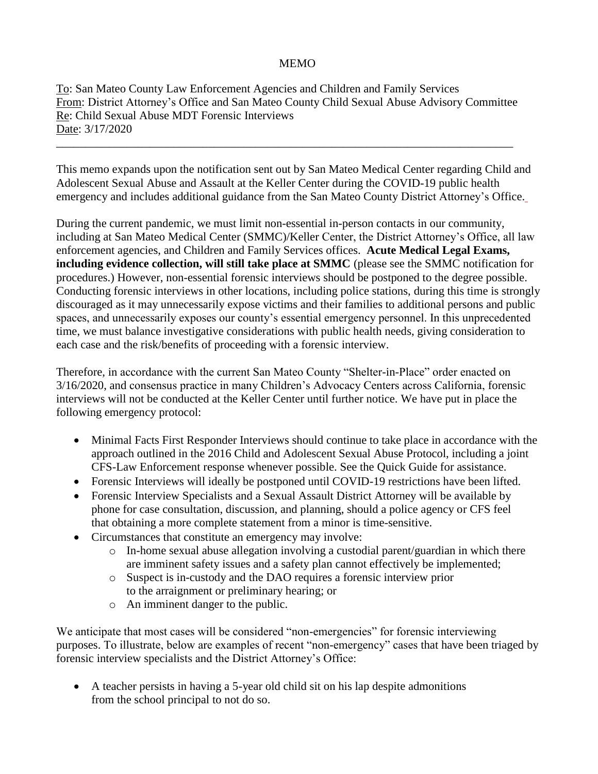## MEMO

To: San Mateo County Law Enforcement Agencies and Children and Family Services From: District Attorney's Office and San Mateo County Child Sexual Abuse Advisory Committee Re: Child Sexual Abuse MDT Forensic Interviews Date: 3/17/2020

\_\_\_\_\_\_\_\_\_\_\_\_\_\_\_\_\_\_\_\_\_\_\_\_\_\_\_\_\_\_\_\_\_\_\_\_\_\_\_\_\_\_\_\_\_\_\_\_\_\_\_\_\_\_\_\_\_\_\_\_\_\_\_\_\_\_\_\_\_\_\_\_\_\_\_\_\_\_

This memo expands upon the notification sent out by San Mateo Medical Center regarding Child and Adolescent Sexual Abuse and Assault at the Keller Center during the COVID-19 public health emergency and includes additional guidance from the San Mateo County District Attorney's Office.

During the current pandemic, we must limit non-essential in-person contacts in our community, including at San Mateo Medical Center (SMMC)/Keller Center, the District Attorney's Office, all law enforcement agencies, and Children and Family Services offices. **Acute Medical Legal Exams, including evidence collection, will still take place at SMMC** (please see the SMMC notification for procedures.) However, non-essential forensic interviews should be postponed to the degree possible. Conducting forensic interviews in other locations, including police stations, during this time is strongly discouraged as it may unnecessarily expose victims and their families to additional persons and public spaces, and unnecessarily exposes our county's essential emergency personnel. In this unprecedented time, we must balance investigative considerations with public health needs, giving consideration to each case and the risk/benefits of proceeding with a forensic interview.

Therefore, in accordance with the current San Mateo County "Shelter-in-Place" order enacted on 3/16/2020, and consensus practice in many Children's Advocacy Centers across California, forensic interviews will not be conducted at the Keller Center until further notice. We have put in place the following emergency protocol:

- Minimal Facts First Responder Interviews should continue to take place in accordance with the approach outlined in the 2016 Child and Adolescent Sexual Abuse Protocol, including a joint CFS-Law Enforcement response whenever possible. See the Quick Guide for assistance.
- Forensic Interviews will ideally be postponed until COVID-19 restrictions have been lifted.
- Forensic Interview Specialists and a Sexual Assault District Attorney will be available by phone for case consultation, discussion, and planning, should a police agency or CFS feel that obtaining a more complete statement from a minor is time-sensitive.
- Circumstances that constitute an emergency may involve:
	- o In-home sexual abuse allegation involving a custodial parent/guardian in which there are imminent safety issues and a safety plan cannot effectively be implemented;
	- o Suspect is in-custody and the DAO requires a forensic interview prior to the arraignment or preliminary hearing; or
	- o An imminent danger to the public.

We anticipate that most cases will be considered "non-emergencies" for forensic interviewing purposes. To illustrate, below are examples of recent "non-emergency" cases that have been triaged by forensic interview specialists and the District Attorney's Office:

• A teacher persists in having a 5-year old child sit on his lap despite admonitions from the school principal to not do so.